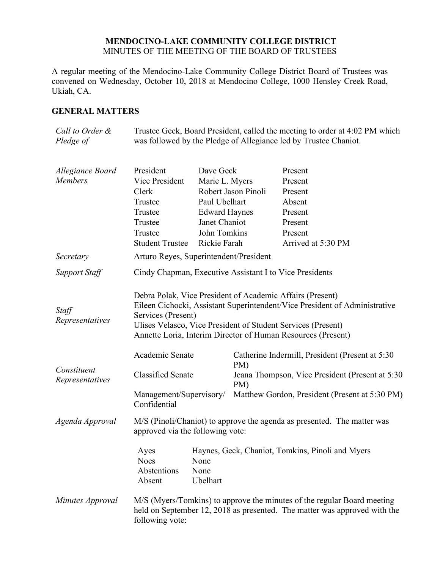### **MENDOCINO-LAKE COMMUNITY COLLEGE DISTRICT** MINUTES OF THE MEETING OF THE BOARD OF TRUSTEES

A regular meeting of the Mendocino-Lake Community College District Board of Trustees was convened on Wednesday, October 10, 2018 at Mendocino College, 1000 Hensley Creek Road, Ukiah, CA.

# **GENERAL MATTERS**

| Call to Order &<br>Pledge of                               | Trustee Geck, Board President, called the meeting to order at 4:02 PM which<br>was followed by the Pledge of Allegiance led by Trustee Chaniot.                         |                                                                                                                       |                                                                                                                                                                                                                                                                                                                                                                                                                                                |                                                                                                |  |
|------------------------------------------------------------|-------------------------------------------------------------------------------------------------------------------------------------------------------------------------|-----------------------------------------------------------------------------------------------------------------------|------------------------------------------------------------------------------------------------------------------------------------------------------------------------------------------------------------------------------------------------------------------------------------------------------------------------------------------------------------------------------------------------------------------------------------------------|------------------------------------------------------------------------------------------------|--|
| Allegiance Board<br><b>Members</b>                         | President<br>Vice President<br>Clerk<br>Trustee<br>Trustee<br>Trustee<br>Trustee<br><b>Student Trustee</b>                                                              | Dave Geck<br>Marie L. Myers<br>Paul Ubelhart<br><b>Edward Haynes</b><br>Janet Chaniot<br>John Tomkins<br>Rickie Farah | Robert Jason Pinoli                                                                                                                                                                                                                                                                                                                                                                                                                            | Present<br>Present<br>Present<br>Absent<br>Present<br>Present<br>Present<br>Arrived at 5:30 PM |  |
| Secretary                                                  | Arturo Reyes, Superintendent/President                                                                                                                                  |                                                                                                                       |                                                                                                                                                                                                                                                                                                                                                                                                                                                |                                                                                                |  |
| <b>Support Staff</b>                                       | Cindy Chapman, Executive Assistant I to Vice Presidents                                                                                                                 |                                                                                                                       |                                                                                                                                                                                                                                                                                                                                                                                                                                                |                                                                                                |  |
| Staff<br>Representatives<br>Constituent<br>Representatives | Services (Present)<br>Academic Senate<br><b>Classified Senate</b><br>Management/Supervisory/<br>Confidential                                                            |                                                                                                                       | Debra Polak, Vice President of Academic Affairs (Present)<br>Eileen Cichocki, Assistant Superintendent/Vice President of Administrative<br>Ulises Velasco, Vice President of Student Services (Present)<br>Annette Loria, Interim Director of Human Resources (Present)<br>Catherine Indermill, President (Present at 5:30)<br>PM)<br>Jeana Thompson, Vice President (Present at 5:30<br>PM)<br>Matthew Gordon, President (Present at 5:30 PM) |                                                                                                |  |
| Agenda Approval                                            | M/S (Pinoli/Chaniot) to approve the agenda as presented. The matter was<br>approved via the following vote:                                                             |                                                                                                                       |                                                                                                                                                                                                                                                                                                                                                                                                                                                |                                                                                                |  |
|                                                            | Ayes<br><b>Noes</b><br>Abstentions<br>Absent                                                                                                                            | None<br>None<br>Ubelhart                                                                                              |                                                                                                                                                                                                                                                                                                                                                                                                                                                | Haynes, Geck, Chaniot, Tomkins, Pinoli and Myers                                               |  |
| Minutes Approval                                           | M/S (Myers/Tomkins) to approve the minutes of the regular Board meeting<br>held on September 12, 2018 as presented. The matter was approved with the<br>following vote: |                                                                                                                       |                                                                                                                                                                                                                                                                                                                                                                                                                                                |                                                                                                |  |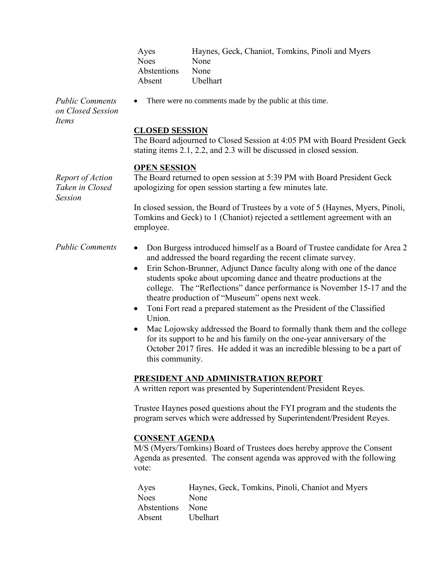| Haynes, Geck, Chaniot, Tomkins, Pinoli and Myers |
|--------------------------------------------------|
| None                                             |
| None                                             |
| <b>Ubelhart</b>                                  |
|                                                  |

There were no comments made by the public at this time.

*Public Comments on Closed Session Items*

### **CLOSED SESSION**

The Board adjourned to Closed Session at 4:05 PM with Board President Geck stating items 2.1, 2.2, and 2.3 will be discussed in closed session.

#### **OPEN SESSION**

The Board returned to open session at 5:39 PM with Board President Geck apologizing for open session starting a few minutes late.

In closed session, the Board of Trustees by a vote of 5 (Haynes, Myers, Pinoli, Tomkins and Geck) to 1 (Chaniot) rejected a settlement agreement with an employee.

- *Public Comments* Don Burgess introduced himself as a Board of Trustee candidate for Area 2 and addressed the board regarding the recent climate survey.
	- Erin Schon-Brunner, Adjunct Dance faculty along with one of the dance students spoke about upcoming dance and theatre productions at the college. The "Reflections" dance performance is November 15-17 and the theatre production of "Museum" opens next week.
	- Toni Fort read a prepared statement as the President of the Classified Union.
	- Mac Lojowsky addressed the Board to formally thank them and the college for its support to he and his family on the one-year anniversary of the October 2017 fires. He added it was an incredible blessing to be a part of this community.

### **PRESIDENT AND ADMINISTRATION REPORT**

A written report was presented by Superintendent/President Reyes.

Trustee Haynes posed questions about the FYI program and the students the program serves which were addressed by Superintendent/President Reyes.

### **CONSENT AGENDA**

M/S (Myers/Tomkins) Board of Trustees does hereby approve the Consent Agenda as presented. The consent agenda was approved with the following vote:

| Ayes             | Haynes, Geck, Tomkins, Pinoli, Chaniot and Myers |
|------------------|--------------------------------------------------|
| <b>Noes</b>      | None                                             |
| Abstentions None |                                                  |
| Absent           | Ubelhart                                         |

*Report of Action Taken in Closed Session*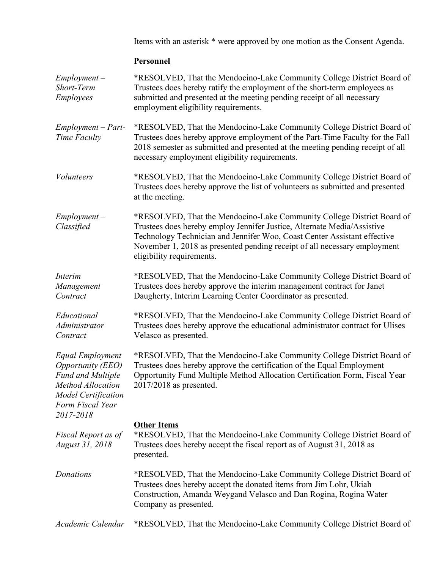Items with an asterisk \* were approved by one motion as the Consent Agenda.

# **Personnel**

| $Employment -$<br>Short-Term<br><b>Employees</b>                                                                                                                    | *RESOLVED, That the Mendocino-Lake Community College District Board of<br>Trustees does hereby ratify the employment of the short-term employees as<br>submitted and presented at the meeting pending receipt of all necessary<br>employment eligibility requirements.                                                                  |
|---------------------------------------------------------------------------------------------------------------------------------------------------------------------|-----------------------------------------------------------------------------------------------------------------------------------------------------------------------------------------------------------------------------------------------------------------------------------------------------------------------------------------|
| $Employment - Part-$<br>Time Faculty                                                                                                                                | *RESOLVED, That the Mendocino-Lake Community College District Board of<br>Trustees does hereby approve employment of the Part-Time Faculty for the Fall<br>2018 semester as submitted and presented at the meeting pending receipt of all<br>necessary employment eligibility requirements.                                             |
| <b>Volunteers</b>                                                                                                                                                   | *RESOLVED, That the Mendocino-Lake Community College District Board of<br>Trustees does hereby approve the list of volunteers as submitted and presented<br>at the meeting.                                                                                                                                                             |
| $Employment -$<br>Classified                                                                                                                                        | *RESOLVED, That the Mendocino-Lake Community College District Board of<br>Trustees does hereby employ Jennifer Justice, Alternate Media/Assistive<br>Technology Technician and Jennifer Woo, Coast Center Assistant effective<br>November 1, 2018 as presented pending receipt of all necessary employment<br>eligibility requirements. |
| <i>Interim</i><br>Management<br>Contract                                                                                                                            | *RESOLVED, That the Mendocino-Lake Community College District Board of<br>Trustees does hereby approve the interim management contract for Janet<br>Daugherty, Interim Learning Center Coordinator as presented.                                                                                                                        |
| Educational<br>Administrator<br>Contract                                                                                                                            | *RESOLVED, That the Mendocino-Lake Community College District Board of<br>Trustees does hereby approve the educational administrator contract for Ulises<br>Velasco as presented.                                                                                                                                                       |
| <b>Equal Employment</b><br><b>Opportunity (EEO)</b><br><b>Fund and Multiple</b><br>Method Allocation<br><b>Model Certification</b><br>Form Fiscal Year<br>2017-2018 | *RESOLVED, That the Mendocino-Lake Community College District Board of<br>Trustees does hereby approve the certification of the Equal Employment<br>Opportunity Fund Multiple Method Allocation Certification Form, Fiscal Year<br>2017/2018 as presented.                                                                              |
| Fiscal Report as of<br>August 31, 2018                                                                                                                              | <b>Other Items</b><br>*RESOLVED, That the Mendocino-Lake Community College District Board of<br>Trustees does hereby accept the fiscal report as of August 31, 2018 as<br>presented.                                                                                                                                                    |
| Donations                                                                                                                                                           | *RESOLVED, That the Mendocino-Lake Community College District Board of<br>Trustees does hereby accept the donated items from Jim Lohr, Ukiah<br>Construction, Amanda Weygand Velasco and Dan Rogina, Rogina Water<br>Company as presented.                                                                                              |
| Academic Calendar                                                                                                                                                   | *RESOLVED, That the Mendocino-Lake Community College District Board of                                                                                                                                                                                                                                                                  |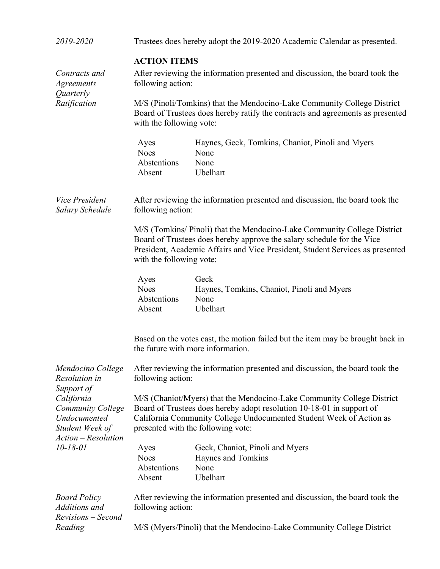| 2019-2020                                                                                                                                                       | Trustees does hereby adopt the 2019-2020 Academic Calendar as presented.                                                                                                                                                                                        |                                                                                                                                                                                                                                           |  |  |
|-----------------------------------------------------------------------------------------------------------------------------------------------------------------|-----------------------------------------------------------------------------------------------------------------------------------------------------------------------------------------------------------------------------------------------------------------|-------------------------------------------------------------------------------------------------------------------------------------------------------------------------------------------------------------------------------------------|--|--|
| Contracts and<br>$A$ greements $-$<br>Quarterly<br>Ratification                                                                                                 | <b>ACTION ITEMS</b><br>following action:                                                                                                                                                                                                                        | After reviewing the information presented and discussion, the board took the<br>M/S (Pinoli/Tomkins) that the Mendocino-Lake Community College District<br>Board of Trustees does hereby ratify the contracts and agreements as presented |  |  |
|                                                                                                                                                                 | with the following vote:<br>Ayes<br><b>Noes</b><br>Abstentions<br>Absent                                                                                                                                                                                        | Haynes, Geck, Tomkins, Chaniot, Pinoli and Myers<br>None<br>None<br>Ubelhart                                                                                                                                                              |  |  |
| <b>Vice President</b><br>Salary Schedule                                                                                                                        | After reviewing the information presented and discussion, the board took the<br>following action:                                                                                                                                                               |                                                                                                                                                                                                                                           |  |  |
|                                                                                                                                                                 | M/S (Tomkins/ Pinoli) that the Mendocino-Lake Community College District<br>Board of Trustees does hereby approve the salary schedule for the Vice<br>President, Academic Affairs and Vice President, Student Services as presented<br>with the following vote: |                                                                                                                                                                                                                                           |  |  |
|                                                                                                                                                                 | Ayes<br><b>Noes</b><br>Abstentions<br>Absent                                                                                                                                                                                                                    | Geck<br>Haynes, Tomkins, Chaniot, Pinoli and Myers<br>None<br>Ubelhart                                                                                                                                                                    |  |  |
|                                                                                                                                                                 |                                                                                                                                                                                                                                                                 | Based on the votes cast, the motion failed but the item may be brought back in<br>the future with more information.                                                                                                                       |  |  |
| Mendocino College<br>Resolution in<br>Support of<br>California<br>Community College<br>Undocumented<br>Student Week of<br>Action - Resolution<br>$10 - 18 - 01$ | After reviewing the information presented and discussion, the board took the<br>following action:                                                                                                                                                               |                                                                                                                                                                                                                                           |  |  |
|                                                                                                                                                                 | M/S (Chaniot/Myers) that the Mendocino-Lake Community College District<br>Board of Trustees does hereby adopt resolution 10-18-01 in support of<br>California Community College Undocumented Student Week of Action as<br>presented with the following vote:    |                                                                                                                                                                                                                                           |  |  |
|                                                                                                                                                                 | Ayes<br><b>Noes</b><br>Abstentions<br>Absent                                                                                                                                                                                                                    | Geck, Chaniot, Pinoli and Myers<br>Haynes and Tomkins<br>None<br>Ubelhart                                                                                                                                                                 |  |  |
| <b>Board Policy</b><br>Additions and<br>Revisions – Second                                                                                                      | After reviewing the information presented and discussion, the board took the<br>following action:                                                                                                                                                               |                                                                                                                                                                                                                                           |  |  |
| Reading                                                                                                                                                         | M/S (Myers/Pinoli) that the Mendocino-Lake Community College District                                                                                                                                                                                           |                                                                                                                                                                                                                                           |  |  |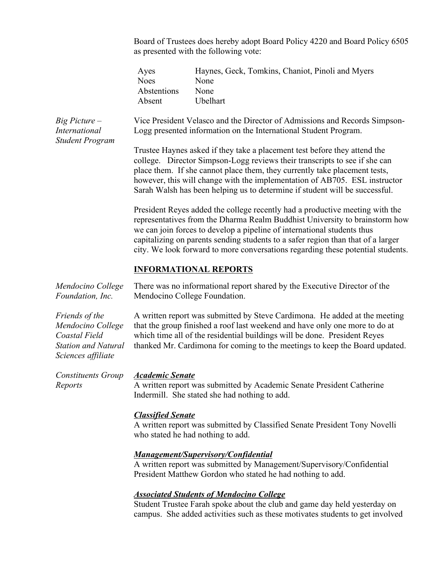Board of Trustees does hereby adopt Board Policy 4220 and Board Policy 6505 as presented with the following vote:

| Ayes        | Haynes, Geck, Tomkins, Chaniot, Pinoli and Myers |
|-------------|--------------------------------------------------|
| <b>Noes</b> | None                                             |
| Abstentions | <b>None</b>                                      |
| Absent      | Ubelhart                                         |

*Big Picture – International Student Program*

Vice President Velasco and the Director of Admissions and Records Simpson-Logg presented information on the International Student Program.

Trustee Haynes asked if they take a placement test before they attend the college. Director Simpson-Logg reviews their transcripts to see if she can place them. If she cannot place them, they currently take placement tests, however, this will change with the implementation of AB705. ESL instructor Sarah Walsh has been helping us to determine if student will be successful.

President Reyes added the college recently had a productive meeting with the representatives from the Dharma Realm Buddhist University to brainstorm how we can join forces to develop a pipeline of international students thus capitalizing on parents sending students to a safer region than that of a larger city. We look forward to more conversations regarding these potential students.

# **INFORMATIONAL REPORTS**

*Mendocino College Foundation, Inc.* There was no informational report shared by the Executive Director of the Mendocino College Foundation. *Friends of the Mendocino College Coastal Field Station and Natural Sciences affiliate*  A written report was submitted by Steve Cardimona. He added at the meeting that the group finished a roof last weekend and have only one more to do at which time all of the residential buildings will be done. President Reyes thanked Mr. Cardimona for coming to the meetings to keep the Board updated. *Constituents Group Reports Academic Senate* A written report was submitted by Academic Senate President Catherine Indermill. She stated she had nothing to add.

# *Classified Senate*

A written report was submitted by Classified Senate President Tony Novelli who stated he had nothing to add.

# *Management/Supervisory/Confidential*

A written report was submitted by Management/Supervisory/Confidential President Matthew Gordon who stated he had nothing to add.

# *Associated Students of Mendocino College*

Student Trustee Farah spoke about the club and game day held yesterday on campus. She added activities such as these motivates students to get involved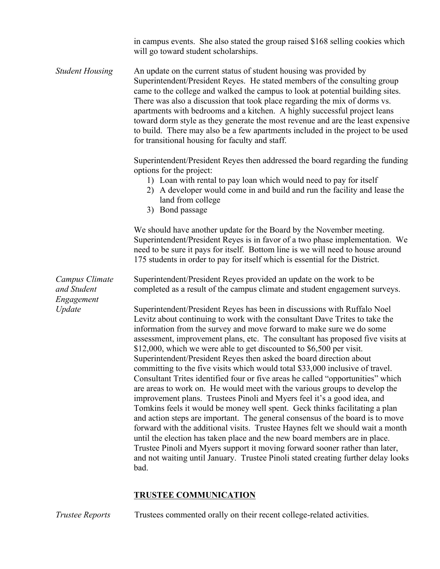|                                      | in campus events. She also stated the group raised \$168 selling cookies which |  |  |  |
|--------------------------------------|--------------------------------------------------------------------------------|--|--|--|
| will go toward student scholarships. |                                                                                |  |  |  |

*Student Housing* An update on the current status of student housing was provided by Superintendent/President Reyes. He stated members of the consulting group came to the college and walked the campus to look at potential building sites. There was also a discussion that took place regarding the mix of dorms vs. apartments with bedrooms and a kitchen. A highly successful project leans toward dorm style as they generate the most revenue and are the least expensive to build. There may also be a few apartments included in the project to be used for transitional housing for faculty and staff.

> Superintendent/President Reyes then addressed the board regarding the funding options for the project:

- 1) Loan with rental to pay loan which would need to pay for itself
- 2) A developer would come in and build and run the facility and lease the land from college
- 3) Bond passage

We should have another update for the Board by the November meeting. Superintendent/President Reyes is in favor of a two phase implementation. We need to be sure it pays for itself. Bottom line is we will need to house around 175 students in order to pay for itself which is essential for the District.

*Campus Climate and Student Engagement Update* Superintendent/President Reyes provided an update on the work to be completed as a result of the campus climate and student engagement surveys. Superintendent/President Reyes has been in discussions with Ruffalo Noel Levitz about continuing to work with the consultant Dave Trites to take the information from the survey and move forward to make sure we do some assessment, improvement plans, etc. The consultant has proposed five visits at \$12,000, which we were able to get discounted to \$6,500 per visit. Superintendent/President Reyes then asked the board direction about committing to the five visits which would total \$33,000 inclusive of travel. Consultant Trites identified four or five areas he called "opportunities" which are areas to work on. He would meet with the various groups to develop the improvement plans. Trustees Pinoli and Myers feel it's a good idea, and Tomkins feels it would be money well spent. Geck thinks facilitating a plan and action steps are important. The general consensus of the board is to move forward with the additional visits. Trustee Haynes felt we should wait a month until the election has taken place and the new board members are in place. Trustee Pinoli and Myers support it moving forward sooner rather than later, and not waiting until January. Trustee Pinoli stated creating further delay looks bad.

# **TRUSTEE COMMUNICATION**

*Trustee Reports* Trustees commented orally on their recent college-related activities.